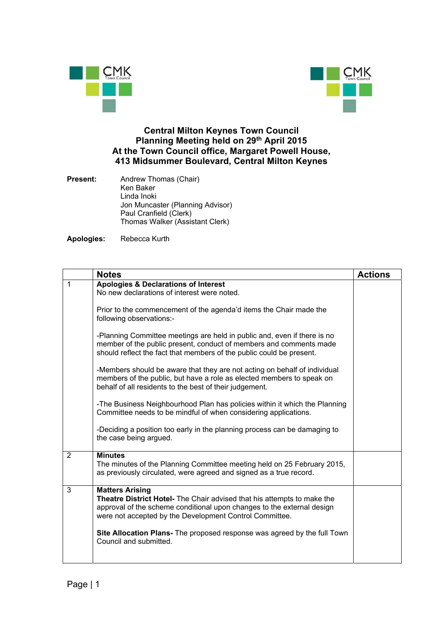



## **Central Milton Keynes Town Council Planning Meeting held on 29th April 2015 At the Town Council office, Margaret Powell House, 413 Midsummer Boulevard, Central Milton Keynes**

**Present:** Andrew Thomas (Chair) Ken Baker Linda Inoki Jon Muncaster (Planning Advisor) Paul Cranfield (Clerk) Thomas Walker (Assistant Clerk)

**Apologies:** Rebecca Kurth

|                | <b>Notes</b>                                                                                                                                                                                                                           | <b>Actions</b> |
|----------------|----------------------------------------------------------------------------------------------------------------------------------------------------------------------------------------------------------------------------------------|----------------|
| 1              | <b>Apologies &amp; Declarations of Interest</b><br>No new declarations of interest were noted.                                                                                                                                         |                |
|                | Prior to the commencement of the agenda'd items the Chair made the<br>following observations:-                                                                                                                                         |                |
|                | -Planning Committee meetings are held in public and, even if there is no<br>member of the public present, conduct of members and comments made<br>should reflect the fact that members of the public could be present.                 |                |
|                | -Members should be aware that they are not acting on behalf of individual<br>members of the public, but have a role as elected members to speak on<br>behalf of all residents to the best of their judgement.                          |                |
|                | -The Business Neighbourhood Plan has policies within it which the Planning<br>Committee needs to be mindful of when considering applications.                                                                                          |                |
|                | -Deciding a position too early in the planning process can be damaging to<br>the case being argued.                                                                                                                                    |                |
| $\overline{2}$ | <b>Minutes</b><br>The minutes of the Planning Committee meeting held on 25 February 2015,<br>as previously circulated, were agreed and signed as a true record.                                                                        |                |
| 3              | <b>Matters Arising</b><br>Theatre District Hotel- The Chair advised that his attempts to make the<br>approval of the scheme conditional upon changes to the external design<br>were not accepted by the Development Control Committee. |                |
|                | Site Allocation Plans- The proposed response was agreed by the full Town<br>Council and submitted.                                                                                                                                     |                |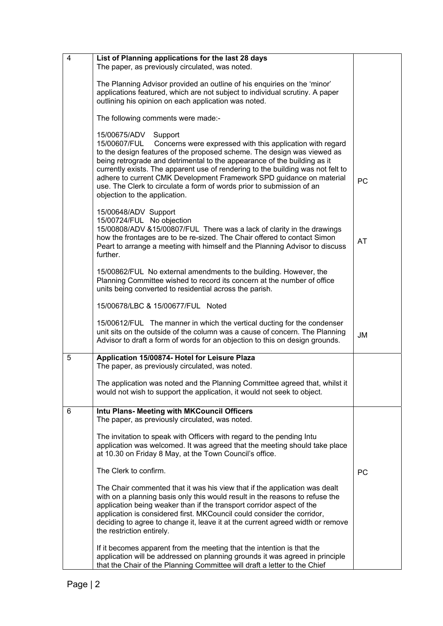| $\overline{4}$ | List of Planning applications for the last 28 days                                                                                                                                                                                                                                                                                                                                                                                                                                                                               |           |
|----------------|----------------------------------------------------------------------------------------------------------------------------------------------------------------------------------------------------------------------------------------------------------------------------------------------------------------------------------------------------------------------------------------------------------------------------------------------------------------------------------------------------------------------------------|-----------|
|                | The paper, as previously circulated, was noted.                                                                                                                                                                                                                                                                                                                                                                                                                                                                                  |           |
|                | The Planning Advisor provided an outline of his enquiries on the 'minor'<br>applications featured, which are not subject to individual scrutiny. A paper<br>outlining his opinion on each application was noted.                                                                                                                                                                                                                                                                                                                 |           |
|                | The following comments were made:-                                                                                                                                                                                                                                                                                                                                                                                                                                                                                               |           |
|                | 15/00675/ADV<br>Support<br>15/00607/FUL<br>Concerns were expressed with this application with regard<br>to the design features of the proposed scheme. The design was viewed as<br>being retrograde and detrimental to the appearance of the building as it<br>currently exists. The apparent use of rendering to the building was not felt to<br>adhere to current CMK Development Framework SPD guidance on material<br>use. The Clerk to circulate a form of words prior to submission of an<br>objection to the application. | PC        |
|                | 15/00648/ADV Support<br>15/00724/FUL No objection<br>15/00808/ADV &15/00807/FUL There was a lack of clarity in the drawings<br>how the frontages are to be re-sized. The Chair offered to contact Simon<br>Peart to arrange a meeting with himself and the Planning Advisor to discuss<br>further.                                                                                                                                                                                                                               | <b>AT</b> |
|                | 15/00862/FUL No external amendments to the building. However, the<br>Planning Committee wished to record its concern at the number of office<br>units being converted to residential across the parish.                                                                                                                                                                                                                                                                                                                          |           |
|                | 15/00678/LBC & 15/00677/FUL Noted                                                                                                                                                                                                                                                                                                                                                                                                                                                                                                |           |
|                | 15/00612/FUL The manner in which the vertical ducting for the condenser<br>unit sits on the outside of the column was a cause of concern. The Planning<br>Advisor to draft a form of words for an objection to this on design grounds.                                                                                                                                                                                                                                                                                           | <b>JM</b> |
| 5              | Application 15/00874- Hotel for Leisure Plaza<br>The paper, as previously circulated, was noted.                                                                                                                                                                                                                                                                                                                                                                                                                                 |           |
|                | The application was noted and the Planning Committee agreed that, whilst it<br>would not wish to support the application, it would not seek to object.                                                                                                                                                                                                                                                                                                                                                                           |           |
| 6              | Intu Plans- Meeting with MKCouncil Officers<br>The paper, as previously circulated, was noted.                                                                                                                                                                                                                                                                                                                                                                                                                                   |           |
|                | The invitation to speak with Officers with regard to the pending Intu<br>application was welcomed. It was agreed that the meeting should take place<br>at 10.30 on Friday 8 May, at the Town Council's office.                                                                                                                                                                                                                                                                                                                   |           |
|                | The Clerk to confirm.                                                                                                                                                                                                                                                                                                                                                                                                                                                                                                            | PC        |
|                | The Chair commented that it was his view that if the application was dealt<br>with on a planning basis only this would result in the reasons to refuse the<br>application being weaker than if the transport corridor aspect of the<br>application is considered first. MKCouncil could consider the corridor,<br>deciding to agree to change it, leave it at the current agreed width or remove<br>the restriction entirely.                                                                                                    |           |
|                | If it becomes apparent from the meeting that the intention is that the<br>application will be addressed on planning grounds it was agreed in principle<br>that the Chair of the Planning Committee will draft a letter to the Chief                                                                                                                                                                                                                                                                                              |           |